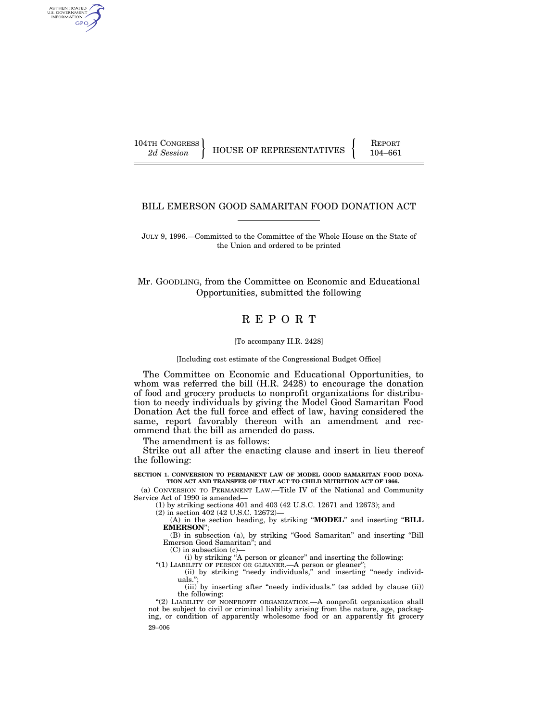AUTHENTICATED U.S. GOVERNMENT GPO

104TH CONGRESS HOUSE OF REPRESENTATIVES FEPORT 104–661

## BILL EMERSON GOOD SAMARITAN FOOD DONATION ACT

JULY 9, 1996.—Committed to the Committee of the Whole House on the State of the Union and ordered to be printed

Mr. GOODLING, from the Committee on Economic and Educational Opportunities, submitted the following

# R E P O R T

[To accompany H.R. 2428]

[Including cost estimate of the Congressional Budget Office]

The Committee on Economic and Educational Opportunities, to whom was referred the bill (H.R. 2428) to encourage the donation of food and grocery products to nonprofit organizations for distribution to needy individuals by giving the Model Good Samaritan Food Donation Act the full force and effect of law, having considered the same, report favorably thereon with an amendment and recommend that the bill as amended do pass.

The amendment is as follows:

Strike out all after the enacting clause and insert in lieu thereof the following:

**SECTION 1. CONVERSION TO PERMANENT LAW OF MODEL GOOD SAMARITAN FOOD DONA-TION ACT AND TRANSFER OF THAT ACT TO CHILD NUTRITION ACT OF 1966.**

(a) CONVERSION TO PERMANENT LAW.—Title IV of the National and Community Service Act of 1990 is amended—

(1) by striking sections 401 and 403 (42 U.S.C. 12671 and 12673); and

(2) in section 402 (42 U.S.C. 12672)—

(A) in the section heading, by striking ''**MODEL**'' and inserting ''**BILL EMERSON**'';

(B) in subsection (a), by striking ''Good Samaritan'' and inserting ''Bill Emerson Good Samaritan''; and

(C) in subsection (c)—

(i) by striking ''A person or gleaner'' and inserting the following:

"(1) LIABILITY OF PERSON OR GLEANER.—A person or gleaner"; (ii) by striking ''needy individuals,'' and inserting ''needy individuals.'';

(iii) by inserting after "needy individuals." (as added by clause (ii)) the following:

29–006 "(2) LIABILITY OF NONPROFIT ORGANIZATION. A nonprofit organization shall not be subject to civil or criminal liability arising from the nature, age, packaging, or condition of apparently wholesome food or an apparently fit grocery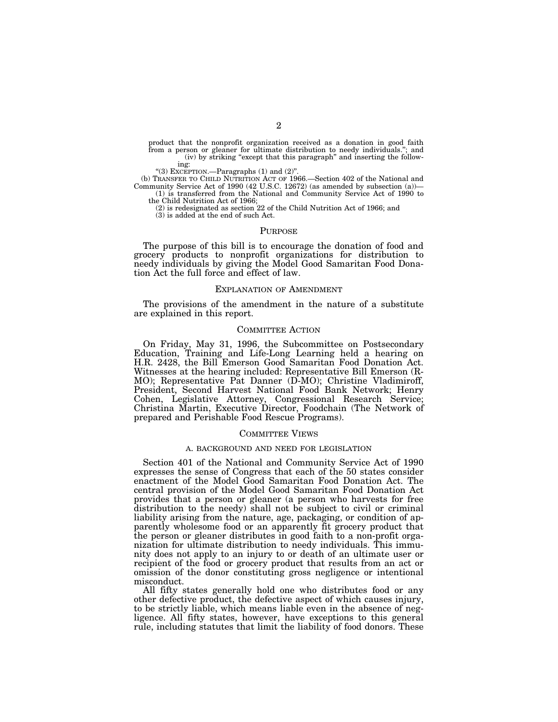product that the nonprofit organization received as a donation in good faith from a person or gleaner for ultimate distribution to needy individuals.''; and (iv) by striking "except that this paragraph" and inserting the follow-

ing:

"(3) EXCEPTION.—Paragraphs (1) and (2)".

(b) TRANSFER TO CHILD NUTRITION ACT OF 1966.—Section 402 of the National and Community Service Act of 1990 (42 U.S.C. 12672) (as amended by subsection (a))— (1) is transferred from the National and Community Service Act of 1990 to

the Child Nutrition Act of 1966;

(2) is redesignated as section 22 of the Child Nutrition Act of 1966; and

(3) is added at the end of such Act.

#### PURPOSE

The purpose of this bill is to encourage the donation of food and grocery products to nonprofit organizations for distribution to needy individuals by giving the Model Good Samaritan Food Donation Act the full force and effect of law.

#### EXPLANATION OF AMENDMENT

The provisions of the amendment in the nature of a substitute are explained in this report.

#### COMMITTEE ACTION

On Friday, May 31, 1996, the Subcommittee on Postsecondary Education, Training and Life-Long Learning held a hearing on H.R. 2428, the Bill Emerson Good Samaritan Food Donation Act. Witnesses at the hearing included: Representative Bill Emerson (R-MO); Representative Pat Danner (D-MO); Christine Vladimiroff, President, Second Harvest National Food Bank Network; Henry Cohen, Legislative Attorney, Congressional Research Service; Christina Martin, Executive Director, Foodchain (The Network of prepared and Perishable Food Rescue Programs).

#### COMMITTEE VIEWS

#### A. BACKGROUND AND NEED FOR LEGISLATION

Section 401 of the National and Community Service Act of 1990 expresses the sense of Congress that each of the 50 states consider enactment of the Model Good Samaritan Food Donation Act. The central provision of the Model Good Samaritan Food Donation Act provides that a person or gleaner (a person who harvests for free distribution to the needy) shall not be subject to civil or criminal liability arising from the nature, age, packaging, or condition of apparently wholesome food or an apparently fit grocery product that the person or gleaner distributes in good faith to a non-profit organization for ultimate distribution to needy individuals. This immunity does not apply to an injury to or death of an ultimate user or recipient of the food or grocery product that results from an act or omission of the donor constituting gross negligence or intentional misconduct.

All fifty states generally hold one who distributes food or any other defective product, the defective aspect of which causes injury, to be strictly liable, which means liable even in the absence of negligence. All fifty states, however, have exceptions to this general rule, including statutes that limit the liability of food donors. These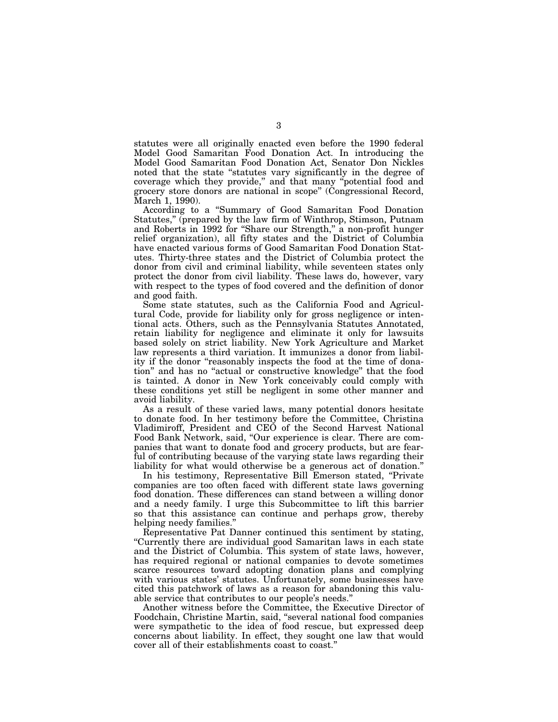statutes were all originally enacted even before the 1990 federal Model Good Samaritan Food Donation Act. In introducing the Model Good Samaritan Food Donation Act, Senator Don Nickles noted that the state ''statutes vary significantly in the degree of coverage which they provide,'' and that many ''potential food and grocery store donors are national in scope'' (Congressional Record, March 1, 1990).

According to a ''Summary of Good Samaritan Food Donation Statutes,'' (prepared by the law firm of Winthrop, Stimson, Putnam and Roberts in 1992 for ''Share our Strength,'' a non-profit hunger relief organization), all fifty states and the District of Columbia have enacted various forms of Good Samaritan Food Donation Statutes. Thirty-three states and the District of Columbia protect the donor from civil and criminal liability, while seventeen states only protect the donor from civil liability. These laws do, however, vary with respect to the types of food covered and the definition of donor and good faith.

Some state statutes, such as the California Food and Agricultural Code, provide for liability only for gross negligence or intentional acts. Others, such as the Pennsylvania Statutes Annotated, retain liability for negligence and eliminate it only for lawsuits based solely on strict liability. New York Agriculture and Market law represents a third variation. It immunizes a donor from liability if the donor "reasonably inspects the food at the time of donation'' and has no ''actual or constructive knowledge'' that the food is tainted. A donor in New York conceivably could comply with these conditions yet still be negligent in some other manner and avoid liability.

As a result of these varied laws, many potential donors hesitate to donate food. In her testimony before the Committee, Christina Vladimiroff, President and CEO of the Second Harvest National Food Bank Network, said, ''Our experience is clear. There are companies that want to donate food and grocery products, but are fearful of contributing because of the varying state laws regarding their liability for what would otherwise be a generous act of donation.''

In his testimony, Representative Bill Emerson stated, ''Private companies are too often faced with different state laws governing food donation. These differences can stand between a willing donor and a needy family. I urge this Subcommittee to lift this barrier so that this assistance can continue and perhaps grow, thereby helping needy families.''

Representative Pat Danner continued this sentiment by stating, ''Currently there are individual good Samaritan laws in each state and the District of Columbia. This system of state laws, however, has required regional or national companies to devote sometimes scarce resources toward adopting donation plans and complying with various states' statutes. Unfortunately, some businesses have cited this patchwork of laws as a reason for abandoning this valuable service that contributes to our people's needs.''

Another witness before the Committee, the Executive Director of Foodchain, Christine Martin, said, ''several national food companies were sympathetic to the idea of food rescue, but expressed deep concerns about liability. In effect, they sought one law that would cover all of their establishments coast to coast.''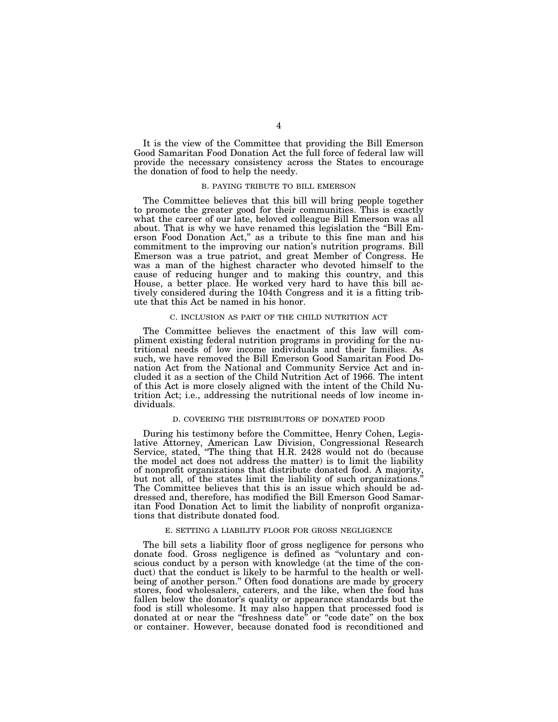It is the view of the Committee that providing the Bill Emerson Good Samaritan Food Donation Act the full force of federal law will provide the necessary consistency across the States to encourage the donation of food to help the needy.

## B. PAYING TRIBUTE TO BILL EMERSON

The Committee believes that this bill will bring people together to promote the greater good for their communities. This is exactly what the career of our late, beloved colleague Bill Emerson was all about. That is why we have renamed this legislation the ''Bill Emerson Food Donation Act,'' as a tribute to this fine man and his commitment to the improving our nation's nutrition programs. Bill Emerson was a true patriot, and great Member of Congress. He was a man of the highest character who devoted himself to the cause of reducing hunger and to making this country, and this House, a better place. He worked very hard to have this bill actively considered during the 104th Congress and it is a fitting tribute that this Act be named in his honor.

#### C. INCLUSION AS PART OF THE CHILD NUTRITION ACT

The Committee believes the enactment of this law will compliment existing federal nutrition programs in providing for the nutritional needs of low income individuals and their families. As such, we have removed the Bill Emerson Good Samaritan Food Donation Act from the National and Community Service Act and included it as a section of the Child Nutrition Act of 1966. The intent of this Act is more closely aligned with the intent of the Child Nutrition Act; i.e., addressing the nutritional needs of low income individuals.

# D. COVERING THE DISTRIBUTORS OF DONATED FOOD

During his testimony before the Committee, Henry Cohen, Legislative Attorney, American Law Division, Congressional Research Service, stated, ''The thing that H.R. 2428 would not do (because the model act does not address the matter) is to limit the liability of nonprofit organizations that distribute donated food. A majority, but not all, of the states limit the liability of such organizations. The Committee believes that this is an issue which should be addressed and, therefore, has modified the Bill Emerson Good Samaritan Food Donation Act to limit the liability of nonprofit organizations that distribute donated food.

#### E. SETTING A LIABILITY FLOOR FOR GROSS NEGLIGENCE

The bill sets a liability floor of gross negligence for persons who donate food. Gross negligence is defined as ''voluntary and conscious conduct by a person with knowledge (at the time of the conduct) that the conduct is likely to be harmful to the health or wellbeing of another person.'' Often food donations are made by grocery stores, food wholesalers, caterers, and the like, when the food has fallen below the donator's quality or appearance standards but the food is still wholesome. It may also happen that processed food is donated at or near the "freshness date" or "code date" on the box or container. However, because donated food is reconditioned and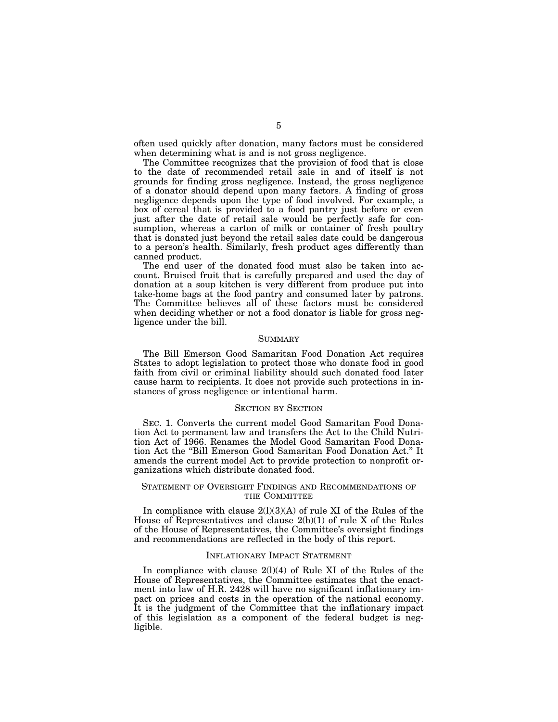often used quickly after donation, many factors must be considered when determining what is and is not gross negligence.

The Committee recognizes that the provision of food that is close to the date of recommended retail sale in and of itself is not grounds for finding gross negligence. Instead, the gross negligence of a donator should depend upon many factors. A finding of gross negligence depends upon the type of food involved. For example, a box of cereal that is provided to a food pantry just before or even just after the date of retail sale would be perfectly safe for consumption, whereas a carton of milk or container of fresh poultry that is donated just beyond the retail sales date could be dangerous to a person's health. Similarly, fresh product ages differently than canned product.

The end user of the donated food must also be taken into account. Bruised fruit that is carefully prepared and used the day of donation at a soup kitchen is very different from produce put into take-home bags at the food pantry and consumed later by patrons. The Committee believes all of these factors must be considered when deciding whether or not a food donator is liable for gross negligence under the bill.

#### **SUMMARY**

The Bill Emerson Good Samaritan Food Donation Act requires States to adopt legislation to protect those who donate food in good faith from civil or criminal liability should such donated food later cause harm to recipients. It does not provide such protections in instances of gross negligence or intentional harm.

#### SECTION BY SECTION

SEC. 1. Converts the current model Good Samaritan Food Donation Act to permanent law and transfers the Act to the Child Nutrition Act of 1966. Renames the Model Good Samaritan Food Donation Act the ''Bill Emerson Good Samaritan Food Donation Act.'' It amends the current model Act to provide protection to nonprofit organizations which distribute donated food.

# STATEMENT OF OVERSIGHT FINDINGS AND RECOMMENDATIONS OF THE COMMITTEE

In compliance with clause 2(l)(3)(A) of rule XI of the Rules of the House of Representatives and clause 2(b)(1) of rule X of the Rules of the House of Representatives, the Committee's oversight findings and recommendations are reflected in the body of this report.

### INFLATIONARY IMPACT STATEMENT

In compliance with clause  $2(1)(4)$  of Rule XI of the Rules of the House of Representatives, the Committee estimates that the enactment into law of H.R. 2428 will have no significant inflationary impact on prices and costs in the operation of the national economy. It is the judgment of the Committee that the inflationary impact of this legislation as a component of the federal budget is negligible.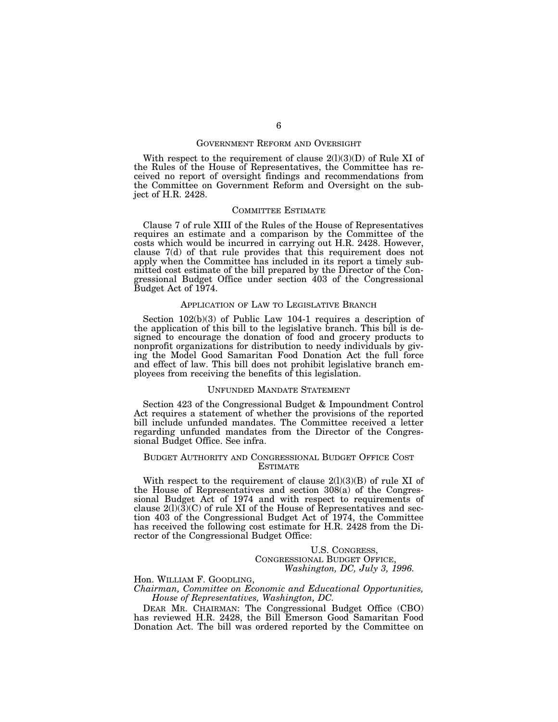### GOVERNMENT REFORM AND OVERSIGHT

With respect to the requirement of clause  $2(1)(3)(D)$  of Rule XI of the Rules of the House of Representatives, the Committee has received no report of oversight findings and recommendations from the Committee on Government Reform and Oversight on the subject of H.R. 2428.

### COMMITTEE ESTIMATE

Clause 7 of rule XIII of the Rules of the House of Representatives requires an estimate and a comparison by the Committee of the costs which would be incurred in carrying out H.R. 2428. However, clause 7(d) of that rule provides that this requirement does not apply when the Committee has included in its report a timely submitted cost estimate of the bill prepared by the Director of the Congressional Budget Office under section 403 of the Congressional Budget Act of 1974.

#### APPLICATION OF LAW TO LEGISLATIVE BRANCH

Section 102(b)(3) of Public Law 104-1 requires a description of the application of this bill to the legislative branch. This bill is designed to encourage the donation of food and grocery products to nonprofit organizations for distribution to needy individuals by giving the Model Good Samaritan Food Donation Act the full force and effect of law. This bill does not prohibit legislative branch employees from receiving the benefits of this legislation.

#### UNFUNDED MANDATE STATEMENT

Section 423 of the Congressional Budget & Impoundment Control Act requires a statement of whether the provisions of the reported bill include unfunded mandates. The Committee received a letter regarding unfunded mandates from the Director of the Congressional Budget Office. See infra.

# BUDGET AUTHORITY AND CONGRESSIONAL BUDGET OFFICE COST ESTIMATE

With respect to the requirement of clause  $2(l)(3)(B)$  of rule XI of the House of Representatives and section 308(a) of the Congressional Budget Act of 1974 and with respect to requirements of clause  $2(1)(3)(C)$  of rule XI of the House of Representatives and section 403 of the Congressional Budget Act of 1974, the Committee has received the following cost estimate for H.R. 2428 from the Director of the Congressional Budget Office:

# U.S. CONGRESS, CONGRESSIONAL BUDGET OFFICE,

## *Washington, DC, July 3, 1996.*

#### Hon. WILLIAM F. GOODLING,

*Chairman, Committee on Economic and Educational Opportunities, House of Representatives, Washington, DC.*

DEAR MR. CHAIRMAN: The Congressional Budget Office (CBO) has reviewed H.R. 2428, the Bill Emerson Good Samaritan Food Donation Act. The bill was ordered reported by the Committee on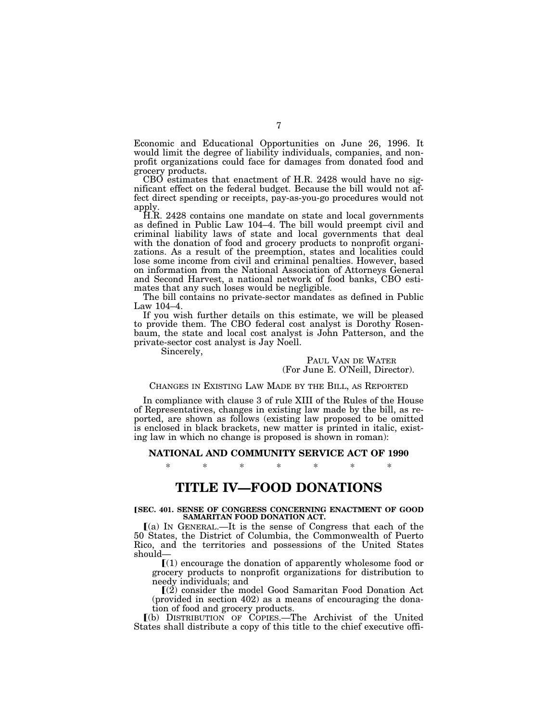Economic and Educational Opportunities on June 26, 1996. It would limit the degree of liability individuals, companies, and nonprofit organizations could face for damages from donated food and grocery products.

CBO estimates that enactment of H.R. 2428 would have no significant effect on the federal budget. Because the bill would not affect direct spending or receipts, pay-as-you-go procedures would not apply.

H.R. 2428 contains one mandate on state and local governments as defined in Public Law 104–4. The bill would preempt civil and criminal liability laws of state and local governments that deal with the donation of food and grocery products to nonprofit organizations. As a result of the preemption, states and localities could lose some income from civil and criminal penalties. However, based on information from the National Association of Attorneys General and Second Harvest, a national network of food banks, CBO estimates that any such loses would be negligible.

The bill contains no private-sector mandates as defined in Public Law 104–4.

If you wish further details on this estimate, we will be pleased to provide them. The CBO federal cost analyst is Dorothy Rosenbaum, the state and local cost analyst is John Patterson, and the private-sector cost analyst is Jay Noell.

Sincerely,

PAUL VAN DE WATER (For June E. O'Neill, Director).

## CHANGES IN EXISTING LAW MADE BY THE BILL, AS REPORTED

In compliance with clause 3 of rule XIII of the Rules of the House of Representatives, changes in existing law made by the bill, as reported, are shown as follows (existing law proposed to be omitted is enclosed in black brackets, new matter is printed in italic, existing law in which no change is proposed is shown in roman):

### **NATIONAL AND COMMUNITY SERVICE ACT OF 1990**

\* \* \* \* \* \* \*

# **TITLE IV—FOOD DONATIONS**

#### **[SEC. 401. SENSE OF CONGRESS CONCERNING ENACTMENT OF GOOD SAMARITAN FOOD DONATION ACT.**

 $(a)$  In GENERAL.—It is the sense of Congress that each of the 50 States, the District of Columbia, the Commonwealth of Puerto Rico, and the territories and possessions of the United States should—

 $(1)$  encourage the donation of apparently wholesome food or grocery products to nonprofit organizations for distribution to needy individuals; and

 $(2)$  consider the model Good Samaritan Food Donation Act (provided in section 402) as a means of encouraging the donation of food and grocery products.

ø(b) DISTRIBUTION OF COPIES.—The Archivist of the United States shall distribute a copy of this title to the chief executive offi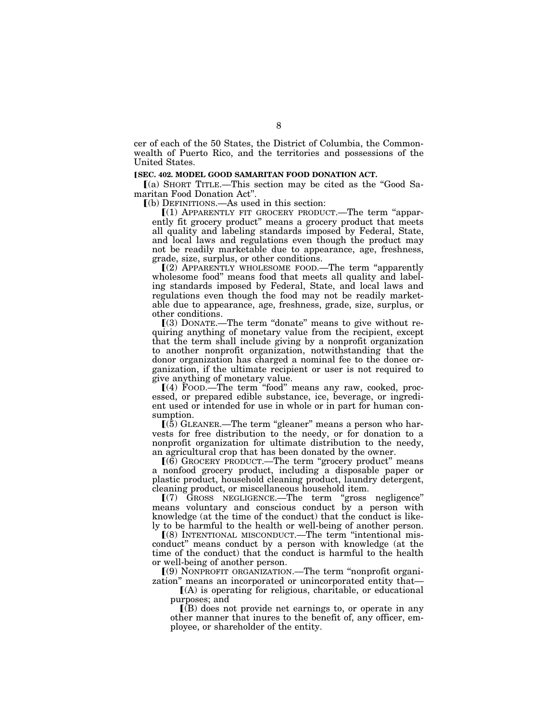cer of each of the 50 States, the District of Columbia, the Commonwealth of Puerto Rico, and the territories and possessions of the United States.

# **[SEC. 402. MODEL GOOD SAMARITAN FOOD DONATION ACT.**

 $(a)$  SHORT TITLE.—This section may be cited as the "Good Samaritan Food Donation Act''.

 $(a)$  DEFINITIONS.—As used in this section:

 $(1)$  APPARENTLY FIT GROCERY PRODUCT.—The term "apparently fit grocery product'' means a grocery product that meets all quality and labeling standards imposed by Federal, State, and local laws and regulations even though the product may not be readily marketable due to appearance, age, freshness, grade, size, surplus, or other conditions.

 $(2)$  APPARENTLY WHOLESOME FOOD.—The term "apparently wholesome food" means food that meets all quality and labeling standards imposed by Federal, State, and local laws and regulations even though the food may not be readily marketable due to appearance, age, freshness, grade, size, surplus, or other conditions.

 $(3)$  DONATE.—The term "donate" means to give without requiring anything of monetary value from the recipient, except that the term shall include giving by a nonprofit organization to another nonprofit organization, notwithstanding that the donor organization has charged a nominal fee to the donee organization, if the ultimate recipient or user is not required to give anything of monetary value.<br>
[(4) FOOD.—The term "food" means any raw, cooked, proc-

essed, or prepared edible substance, ice, beverage, or ingredient used or intended for use in whole or in part for human consumption.

 $(5)$  GLEANER.—The term "gleaner" means a person who harvests for free distribution to the needy, or for donation to a nonprofit organization for ultimate distribution to the needy, an agricultural crop that has been donated by the owner.

ø(6) GROCERY PRODUCT.—The term ''grocery product'' means a nonfood grocery product, including a disposable paper or plastic product, household cleaning product, laundry detergent, cleaning product, or miscellaneous household item.

 $(7)$  GROSS NEGLIGENCE.—The term "gross negligence" means voluntary and conscious conduct by a person with knowledge (at the time of the conduct) that the conduct is likely to be harmful to the health or well-being of another person.

ø(8) INTENTIONAL MISCONDUCT.—The term ''intentional misconduct'' means conduct by a person with knowledge (at the time of the conduct) that the conduct is harmful to the health or well-being of another person.

ø(9) NONPROFIT ORGANIZATION.—The term ''nonprofit organization'' means an incorporated or unincorporated entity that—

 $(A)$  is operating for religious, charitable, or educational purposes; and

 $\Gamma(B)$  does not provide net earnings to, or operate in any other manner that inures to the benefit of, any officer, employee, or shareholder of the entity.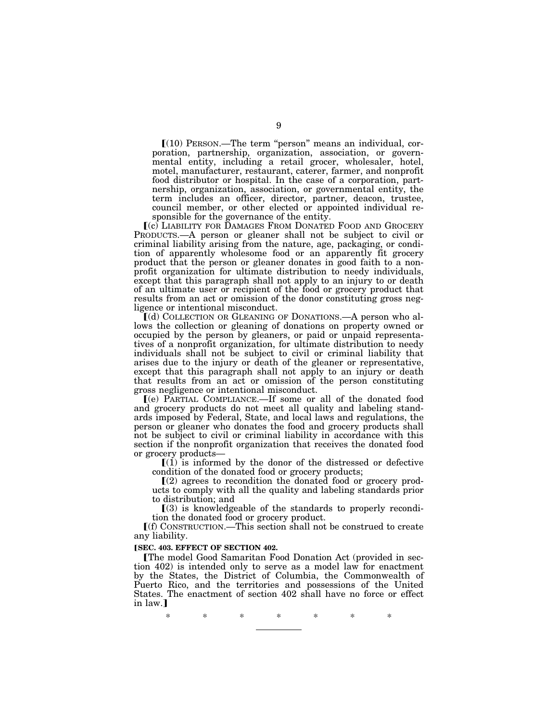ø(10) PERSON.—The term ''person'' means an individual, corporation, partnership, organization, association, or governmental entity, including a retail grocer, wholesaler, hotel, motel, manufacturer, restaurant, caterer, farmer, and nonprofit food distributor or hospital. In the case of a corporation, partnership, organization, association, or governmental entity, the term includes an officer, director, partner, deacon, trustee, council member, or other elected or appointed individual responsible for the governance of the entity.

ø(c) LIABILITY FOR DAMAGES FROM DONATED FOOD AND GROCERY PRODUCTS.—A person or gleaner shall not be subject to civil or criminal liability arising from the nature, age, packaging, or condition of apparently wholesome food or an apparently fit grocery product that the person or gleaner donates in good faith to a nonprofit organization for ultimate distribution to needy individuals, except that this paragraph shall not apply to an injury to or death of an ultimate user or recipient of the food or grocery product that results from an act or omission of the donor constituting gross negligence or intentional misconduct.

ø(d) COLLECTION OR GLEANING OF DONATIONS.—A person who allows the collection or gleaning of donations on property owned or occupied by the person by gleaners, or paid or unpaid representatives of a nonprofit organization, for ultimate distribution to needy individuals shall not be subject to civil or criminal liability that arises due to the injury or death of the gleaner or representative, except that this paragraph shall not apply to an injury or death that results from an act or omission of the person constituting gross negligence or intentional misconduct.

ø(e) PARTIAL COMPLIANCE.—If some or all of the donated food and grocery products do not meet all quality and labeling standards imposed by Federal, State, and local laws and regulations, the person or gleaner who donates the food and grocery products shall not be subject to civil or criminal liability in accordance with this section if the nonprofit organization that receives the donated food or grocery products—

 $[(1)$  is informed by the donor of the distressed or defective condition of the donated food or grocery products;

 $(2)$  agrees to recondition the donated food or grocery products to comply with all the quality and labeling standards prior to distribution; and

 $(3)$  is knowledgeable of the standards to properly recondition the donated food or grocery product.

 $\lbrack$  (f) CONSTRUCTION.—This section shall not be construed to create any liability.

#### **[SEC. 403. EFFECT OF SECTION 402.**

øThe model Good Samaritan Food Donation Act (provided in section 402) is intended only to serve as a model law for enactment by the States, the District of Columbia, the Commonwealth of Puerto Rico, and the territories and possessions of the United States. The enactment of section 402 shall have no force or effect in law.1

\* \* \* \* \* \* \*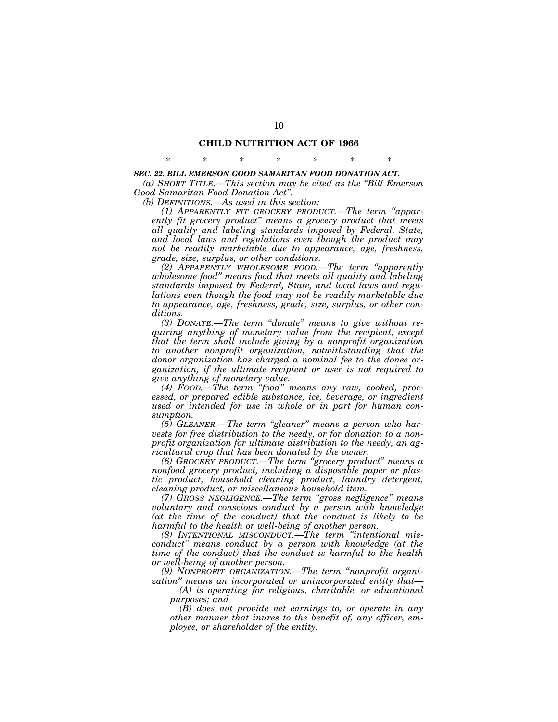# **CHILD NUTRITION ACT OF 1966** \* \* \* \* \* \* \*

#### *SEC. 22. BILL EMERSON GOOD SAMARITAN FOOD DONATION ACT.*

*(a) SHORT TITLE.—This section may be cited as the ''Bill Emerson Good Samaritan Food Donation Act''.*

*(b) DEFINITIONS.—As used in this section:*

*(1) APPARENTLY FIT GROCERY PRODUCT.—The term ''apparently fit grocery product'' means a grocery product that meets all quality and labeling standards imposed by Federal, State, and local laws and regulations even though the product may not be readily marketable due to appearance, age, freshness, grade, size, surplus, or other conditions.*

*(2) APPARENTLY WHOLESOME FOOD.—The term ''apparently wholesome food'' means food that meets all quality and labeling standards imposed by Federal, State, and local laws and regulations even though the food may not be readily marketable due to appearance, age, freshness, grade, size, surplus, or other conditions.*

*(3) DONATE.—The term ''donate'' means to give without requiring anything of monetary value from the recipient, except that the term shall include giving by a nonprofit organization to another nonprofit organization, notwithstanding that the donor organization has charged a nominal fee to the donee organization, if the ultimate recipient or user is not required to give anything of monetary value.*

*(4) FOOD.—The term ''food'' means any raw, cooked, processed, or prepared edible substance, ice, beverage, or ingredient used or intended for use in whole or in part for human consumption.*

*(5) GLEANER.—The term ''gleaner'' means a person who harvests for free distribution to the needy, or for donation to a nonprofit organization for ultimate distribution to the needy, an agricultural crop that has been donated by the owner.*

*(6) GROCERY PRODUCT.—The term ''grocery product'' means a nonfood grocery product, including a disposable paper or plastic product, household cleaning product, laundry detergent, cleaning product, or miscellaneous household item.*

*(7) GROSS NEGLIGENCE.—The term ''gross negligence'' means voluntary and conscious conduct by a person with knowledge (at the time of the conduct) that the conduct is likely to be harmful to the health or well-being of another person.*

*(8) INTENTIONAL MISCONDUCT.—The term ''intentional misconduct'' means conduct by a person with knowledge (at the time of the conduct) that the conduct is harmful to the health or well-being of another person.*

*(9) NONPROFIT ORGANIZATION.—The term ''nonprofit organization'' means an incorporated or unincorporated entity that—*

*(A) is operating for religious, charitable, or educational purposes; and*

*(B) does not provide net earnings to, or operate in any other manner that inures to the benefit of, any officer, employee, or shareholder of the entity.*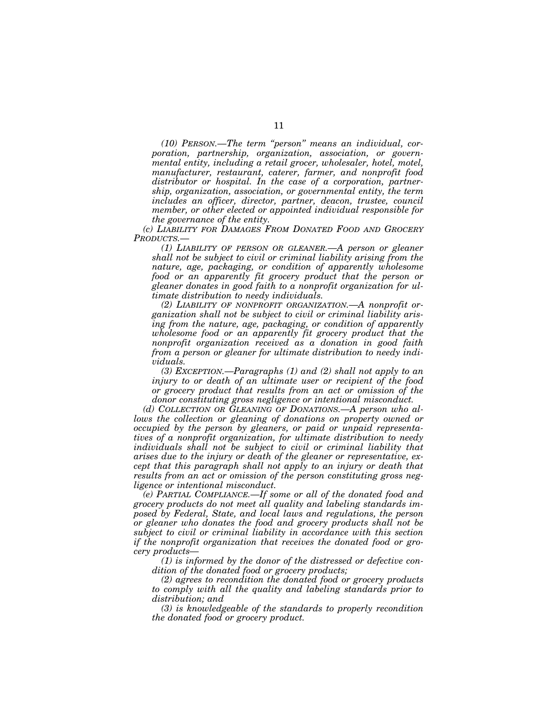*(10) PERSON.—The term ''person'' means an individual, corporation, partnership, organization, association, or governmental entity, including a retail grocer, wholesaler, hotel, motel, manufacturer, restaurant, caterer, farmer, and nonprofit food distributor or hospital. In the case of a corporation, partnership, organization, association, or governmental entity, the term includes an officer, director, partner, deacon, trustee, council member, or other elected or appointed individual responsible for the governance of the entity.*

*(c) LIABILITY FOR DAMAGES FROM DONATED FOOD AND GROCERY PRODUCTS.—*

*(1) LIABILITY OF PERSON OR GLEANER.—A person or gleaner shall not be subject to civil or criminal liability arising from the nature, age, packaging, or condition of apparently wholesome food or an apparently fit grocery product that the person or gleaner donates in good faith to a nonprofit organization for ultimate distribution to needy individuals.*

*(2) LIABILITY OF NONPROFIT ORGANIZATION.—A nonprofit organization shall not be subject to civil or criminal liability arising from the nature, age, packaging, or condition of apparently wholesome food or an apparently fit grocery product that the nonprofit organization received as a donation in good faith from a person or gleaner for ultimate distribution to needy individuals.*

*(3) EXCEPTION.—Paragraphs (1) and (2) shall not apply to an injury to or death of an ultimate user or recipient of the food or grocery product that results from an act or omission of the donor constituting gross negligence or intentional misconduct.*

*(d) COLLECTION OR GLEANING OF DONATIONS.—A person who allows the collection or gleaning of donations on property owned or occupied by the person by gleaners, or paid or unpaid representatives of a nonprofit organization, for ultimate distribution to needy individuals shall not be subject to civil or criminal liability that arises due to the injury or death of the gleaner or representative, except that this paragraph shall not apply to an injury or death that results from an act or omission of the person constituting gross negligence or intentional misconduct.*

*(e) PARTIAL COMPLIANCE.—If some or all of the donated food and grocery products do not meet all quality and labeling standards imposed by Federal, State, and local laws and regulations, the person or gleaner who donates the food and grocery products shall not be subject to civil or criminal liability in accordance with this section if the nonprofit organization that receives the donated food or grocery products—*

*(1) is informed by the donor of the distressed or defective condition of the donated food or grocery products;*

*(2) agrees to recondition the donated food or grocery products to comply with all the quality and labeling standards prior to distribution; and*

*(3) is knowledgeable of the standards to properly recondition the donated food or grocery product.*